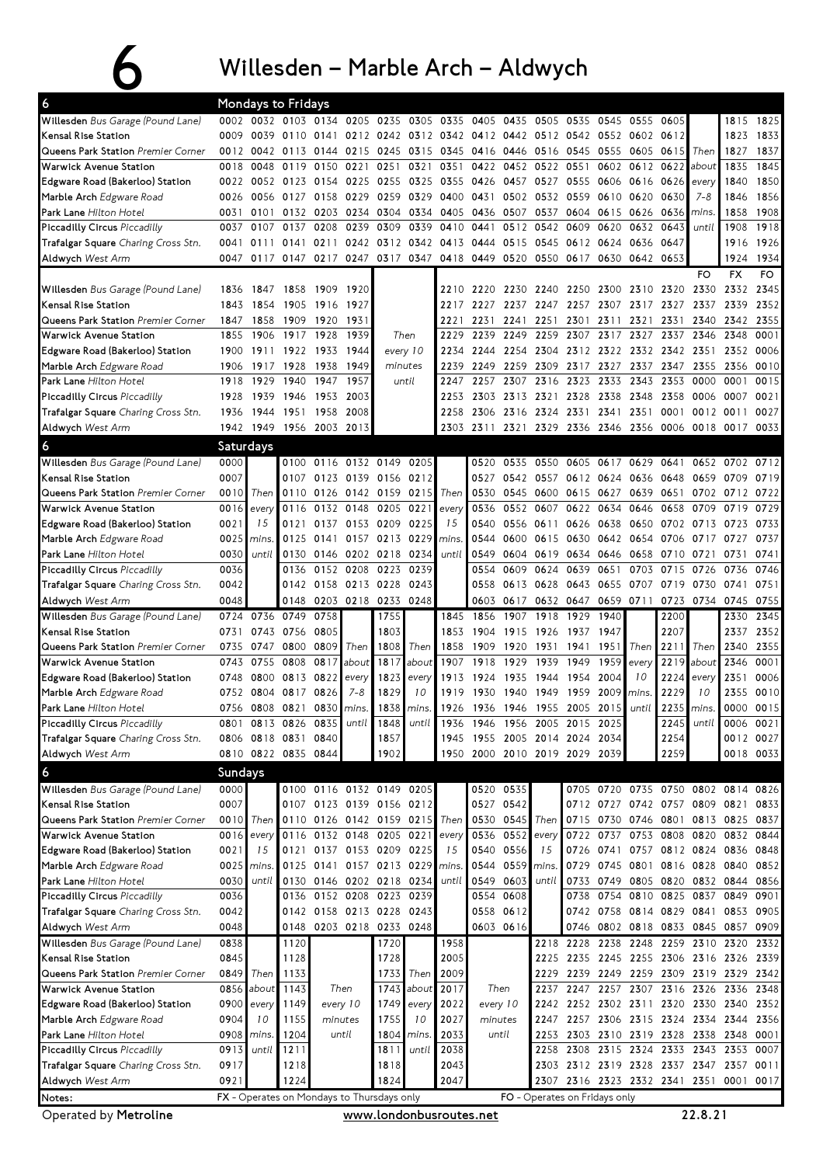## $6$  Willesden – Marble Arch – Aldwych

| 6                                                        |              | Mondays to Fridays |                                                   |                |                               |                     |            |                          |                                                        |                   |                |                   |           |                                         |           |                |                |                                                                                              |
|----------------------------------------------------------|--------------|--------------------|---------------------------------------------------|----------------|-------------------------------|---------------------|------------|--------------------------|--------------------------------------------------------|-------------------|----------------|-------------------|-----------|-----------------------------------------|-----------|----------------|----------------|----------------------------------------------------------------------------------------------|
| Willesden Bus Garage (Pound Lane)                        |              |                    | 0002 0032 0103 0134 0205 0235 0305 0335 0405 0435 |                |                               |                     |            |                          |                                                        |                   |                | 0505 0535         | 0545      | 0555                                    | 0605      |                | 1815           | 1825                                                                                         |
| Kensal Rise Station                                      | 0009         | 0039               |                                                   | 0110 0141      |                               |                     |            |                          | 0212 0242 0312 0342 0412 0442 0512 0542 0552 0602 0612 |                   |                |                   |           |                                         |           |                | 1823           | 1833                                                                                         |
| Queens Park Station Premier Corner                       | 0012         | 0042               | 0113                                              |                | 0144 0215 0245                |                     | 0315       |                          | 0345 0416 0446 0516 0545                               |                   |                |                   | 0555      | 0605 0615                               |           | Then           | 1827           | 1837                                                                                         |
| Warwick Avenue Station                                   | 0018         | 0048               | 0119                                              | 0150           | 0221                          | 0251                | 0321       | 0351                     | 0422                                                   | 0452              | 0522           | 0551              | 0602      | 0612                                    | 0622      | about          | 1835           | 1845                                                                                         |
| Edgware Road (Bakerloo) Station                          |              |                    | 0022 0052 0123 0154 0225 0255                     |                |                               |                     | 0325       | 0355 0426                |                                                        |                   | 0457 0527 0555 |                   |           | 0606 0616 0626                          |           | every          | 1840           | 1850                                                                                         |
| Marble Arch Edgware Road                                 | 0026         | 0056               |                                                   | 0127 0158      | 0229                          | 0259                | 0329       | 0400 0431                |                                                        |                   | 0502 0532 0559 |                   | 0610      | 0620                                    | 0630      | $7 - 8$        | 1846           | 1856                                                                                         |
| <b>Park Lane</b> Hilton Hotel                            | 0031         | 0101               | 0132                                              | 0203           | 0234                          | 0304                | 0334       | 0405                     | 0436                                                   |                   | 0507 0537      | 0604              | 0615      | 0626                                    | 0636      | mins.          | 1858           | 1908                                                                                         |
| Piccadilly Circus Piccadilly                             | 0037         | 0107               | 0137                                              | 0208           | 0239                          | 0309                | 0339       |                          | 0410 0441                                              | 0512              | 0542           | 0609              | 0620      | 0632                                    | 0643      | until          | 1908           | 1918                                                                                         |
| <b>Trafalgar Square</b> Charing Cross Stn.               | 0041         | 0111               | 0141                                              | 0211           |                               |                     |            | 0242 0312 0342 0413 0444 |                                                        |                   | 0515 0545      | 0612              | 0624 0636 |                                         | 0647      |                | 1916           | 1926                                                                                         |
| Aldwych West Arm                                         |              | 0047 0117          |                                                   |                |                               |                     |            |                          | 0147 0217 0247 0317 0347 0418 0449 0520 0550 0617      |                   |                |                   | 0630      | 0642 0653                               |           |                | 1924           | 1934                                                                                         |
|                                                          |              |                    |                                                   |                |                               |                     |            |                          |                                                        |                   |                |                   |           |                                         |           | FO             | <b>FX</b>      | <b>FO</b>                                                                                    |
| Willesden Bus Garage (Pound Lane)                        |              | 1836 1847          | 1858                                              | 1909 1920      |                               |                     |            |                          | 2210 2220 2230 2240 2250                               |                   |                |                   |           | 2300 2310 2320                          |           | 2330           | 2332           | 2345                                                                                         |
| Kensal Rise Station                                      | 1843         | 1854               | 1905                                              | 1916           | 1927                          |                     |            | 2217                     | 2227                                                   |                   | 2237 2247      | 2257              |           | 2307 2317 2327                          |           | 2337           | 2339           | 2352                                                                                         |
| Queens Park Station Premier Corner                       | 1847         | 1858               | 1909                                              | 1920           | 1931                          |                     |            | 2221                     | 2231                                                   | 2241              | 2251           | 2301              | 2311      | 2321                                    | 2331      | 2340           | 2342           | 2355                                                                                         |
| Warwick Avenue Station                                   | 1855         | 1906               | 1917                                              | 1928           | 1939                          |                     | Then       | 2229                     | 2239                                                   | 2249              | 2259           | 2307              | 2317      | 2327                                    | 2337      | 2346           | 2348           | 0001                                                                                         |
| Edgware Road (Bakerloo) Station                          | 1900         | 1911               |                                                   | 1922 1933      | 1944                          | every 10            |            | 2234                     | 2244                                                   |                   | 2254 2304      | 2312              |           | 2322 2332 2342 2351                     |           |                | 2352           | 0006                                                                                         |
| Marble Arch Edgware Road                                 |              | 1906 1917          | 1928                                              | 1938           | 1949                          | minutes             |            | 2239                     | 2249                                                   | 2259 2309         |                | 2317              |           | 2327 2337 2347 2355 2356                |           |                |                | 0010                                                                                         |
| Park Lane Hilton Hotel                                   |              | 1918 1929          | 1940                                              | 1947           | 1957                          |                     | until      | 2247                     | 2257                                                   |                   | 2307 2316      | 2323              |           | 2333 2343                               | 2353      | 0000           | 0001           | 0015                                                                                         |
| Piccadilly Circus Piccadilly                             | 1928         | 1939               | 1946                                              | 1953 2003      |                               |                     |            | 2253                     | 2303 2313 2321                                         |                   |                | 2328              |           | 2338 2348 2358                          |           | 0006 0007      |                | 0021                                                                                         |
| Trafalgar Square Charing Cross Stn.                      |              | 1936 1944          | 1951                                              | 1958           | 2008                          |                     |            | 2258                     | 2306 2316 2324 2331 2341 2351                          |                   |                |                   |           |                                         | 0001      | 0012           | 0011           | 0027                                                                                         |
| Aldwych West Arm                                         |              | 1942 1949          |                                                   | 1956 2003 2013 |                               |                     |            |                          | 2303 2311                                              |                   |                |                   |           | 2321 2329 2336 2346 2356 0006           |           | 0018 0017      |                | 0033                                                                                         |
| 6                                                        | Saturdays    |                    |                                                   |                |                               |                     |            |                          |                                                        |                   |                |                   |           |                                         |           |                |                |                                                                                              |
| Willesden Bus Garage (Pound Lane)                        | 0000         |                    |                                                   |                | 0100 0116 0132 0149 0205      |                     |            |                          | 0520                                                   | 0535              | 0550           | 0605              | 0617      | 0629                                    | 0641      | 0652           | 0702           | 0712                                                                                         |
| Kensal Rise Station                                      | 0007         |                    | 0107                                              |                | 0123 0139 0156                |                     | 0212       |                          | 0527                                                   |                   | 0542 0557      |                   | 0612 0624 | 0636                                    | 0648      | 0659           | 0709           | 0719                                                                                         |
| Queens Park Station Premier Corner                       | 0010         | Then               |                                                   |                | 0110 0126 0142 0159           |                     | 0215       | Then                     | 0530                                                   |                   | 0545 0600      | 0615              | 0627      | 0639 0651                               |           |                | 0702 0712      | 0722                                                                                         |
| Warwick Avenue Station                                   | 0016         | every              | 0116                                              |                | 0132 0148                     | 0205                | 0221       | every                    | 0536                                                   |                   | 0552 0607      | 0622              | 0634      | 0646                                    | 0658      | 0709           | 0719           | 0729                                                                                         |
| Edgware Road (Bakerloo) Station                          | 0021         | 15                 | 0121                                              |                | 0137 0153 0209                |                     | 0225       | 15                       | 0540                                                   |                   | 0556 0611      | 0626              | 0638      | 0650                                    | 0702      | 0713           | 0723           | 0733                                                                                         |
| Marble Arch Edgware Road                                 | 0025         | mins.              | 0125                                              |                | 0141 0157 0213 0229           |                     |            | mins.                    | 0544                                                   | 0600              | 0615 0630      |                   |           | 0642 0654 0706                          |           | 0717 0727      |                | 0737                                                                                         |
| <b>Park Lane</b> Hilton Hotel                            | 0030         | until              | 0130                                              |                | 0146 0202 0218                |                     | 0234       | until                    | 0549                                                   |                   | 0604 0619 0634 |                   | 0646      | 0658                                    |           | 0710 0721      | 0731           | 0741                                                                                         |
| Piccadilly Circus Piccadilly                             | 0036         |                    | 0136                                              |                | 0152 0208                     | 0223                | 0239       |                          | 0554                                                   | 0609              | 0624           | 0639              | 0651      | 0703                                    | 0715      | 0726           | 0736           | 0746                                                                                         |
| Trafalgar Square Charing Cross Stn.                      | 0042         |                    |                                                   |                | 0142 0158 0213 0228           |                     | 0243       |                          | 0558                                                   |                   | 0613 0628 0643 |                   |           | 0655 0707 0719 0730                     |           |                | 0741           | 0751                                                                                         |
| Aldwych West Arm                                         | 0048         |                    | 0148                                              |                |                               | 0203 0218 0233 0248 |            |                          | 0603                                                   |                   | 0617 0632 0647 |                   | 0659 0711 |                                         |           |                | 0723 0734 0745 | 0755                                                                                         |
|                                                          |              |                    |                                                   |                |                               |                     |            |                          |                                                        |                   |                |                   |           |                                         |           |                |                |                                                                                              |
| Willesden Bus Garage (Pound Lane)                        |              | 0724 0736          | 0749                                              | 0758           |                               | 1755                |            | 1845                     | 1856                                                   | 1907              | 1918           | 1929              | 1940      |                                         | 2200      |                | 2330           | 2345                                                                                         |
| Kensal Rise Station                                      | 0731         |                    | 0743 0756                                         | 0805           |                               | 1803                |            | 1853                     | 1904                                                   |                   | 1915 1926      | 1937              | 1947      |                                         | 2207      |                | 2337           | 2352                                                                                         |
| Queens Park Station Premier Corner                       |              | 0735 0747          | 0800                                              | 0809           | Then                          | 1808                | Then       | 1858                     | 1909                                                   | 1920              | 1931           | 1941              | 1951      | Then                                    | 2211      | Then           | 2340           | 2355                                                                                         |
| Warwick Avenue Station                                   |              | 0743 0755          | 0808                                              | 0817           | about                         | 1817                | about      | 1907                     | 1918                                                   | 1929              | 1939           | 1949              | 1959      | every                                   | 2219      | about          | 2346           | 0001                                                                                         |
| Edgware Road (Bakerloo) Station                          | 0748         | 0800               | 0813                                              | 0822           | every                         | 1823                | every      | 1913                     | 1924                                                   | 1935              | 1944           | 1954              | 2004      | 10                                      | 2224      | every          | 2351           | 0006                                                                                         |
| <b>Marble Arch</b> Edgware Road                          | 0752         | 0804               | 0817                                              | 0826           | $7 - 8$                       | 1829                | 10         | 1919                     | 1930                                                   | 1940              | 1949           | 1959              | 2009      | mins.                                   | 2229      | 10             | 2355           |                                                                                              |
| Park Lane Hilton Hotel                                   |              |                    | 0756 0808 0821                                    |                | 0830 mins.                    |                     | 1838 mins. |                          | 1926 1936                                              |                   | 1946 1955      | 2005              | 2015      | until                                   |           | 2235 mins.     | 0000 0015      |                                                                                              |
| Piccadilly Circus Piccadilly                             |              |                    | 0801 0813 0826 0835 until 1848 until              |                |                               |                     |            |                          | 1936 1946 1956 2005 2015 2025                          |                   |                |                   |           |                                         |           | $2245$ until   | 0006 0021      |                                                                                              |
| Trafalgar Square Charing Cross Stn.                      |              |                    | 0806 0818 0831 0840                               |                |                               | 1857                |            |                          | 1945 1955 2005 2014 2024                               |                   |                |                   | 2034      |                                         | 2254      |                |                |                                                                                              |
| Aldwych West Arm                                         |              |                    | 0810 0822 0835 0844                               |                |                               | 1902                |            |                          | 1950 2000 2010 2019 2029 2039                          |                   |                |                   |           |                                         | 2259      |                |                |                                                                                              |
| 6                                                        | Sundays      |                    |                                                   |                |                               |                     |            |                          |                                                        |                   |                |                   |           |                                         |           |                |                |                                                                                              |
| Willesden Bus Garage (Pound Lane)                        | 0000         |                    |                                                   |                | 0100 0116 0132 0149 0205      |                     |            |                          |                                                        | 0520 0535         |                |                   |           | 0705 0720 0735 0750 0802 0814 0826      |           |                |                |                                                                                              |
| Kensal Rise Station                                      | 0007         |                    |                                                   |                | 0107 0123 0139 0156 0212      |                     |            |                          |                                                        | 0527 0542         |                |                   |           | 0712 0727 0742 0757 0809 0821           |           |                |                |                                                                                              |
| Queens Park Station Premier Corner                       |              | 0010 Then          |                                                   |                | 0110 0126 0142 0159 0215 Then |                     |            |                          | 0530                                                   | 0545 Then         |                | 0715              |           | 0730 0746 0801 0813 0825                |           |                |                |                                                                                              |
| Warwick Avenue Station                                   | 0016         | every              |                                                   |                | 0116 0132 0148 0205 0221      |                     |            | every                    | 0536                                                   | 0552              | every          | 0722              | 0737      | 0753                                    | 0808      | 0820           | 0832           |                                                                                              |
| Edgware Road (Bakerloo) Station                          | 0021         | 15                 |                                                   |                | 0121 0137 0153 0209 0225      |                     |            | 15                       |                                                        | 0540 0556         | 15             | 0726              |           | 0741 0757                               |           | 0812 0824 0836 |                |                                                                                              |
| <b>Marble Arch</b> Edgware Road                          | 0025         | mins.              |                                                   |                | 0125 0141 0157 0213 0229      |                     |            | mins.                    | 0544                                                   | 0559              | mins.          | 0729              |           | 0745 0801                               |           | 0816 0828 0840 |                | 0010<br>0012 0027<br>0018 0033<br>0833<br>0837<br>0844<br>0848<br>0852                       |
| Park Lane Hilton Hotel                                   | 0030         | until              |                                                   |                | 0130 0146 0202 0218 0234      |                     |            | until                    | 0549                                                   | 0603              | until          | 0733<br>0738      |           | 0749 0805 0820 0832 0844                |           |                |                |                                                                                              |
| Piccadilly Circus Piccadilly                             | 0036         |                    |                                                   |                | 0136 0152 0208 0223 0239      |                     |            |                          | 0554                                                   | 0608              |                |                   |           | 0754 0810                               | 0825 0837 |                | 0849           | 0901                                                                                         |
| Trafalgar Square Charing Cross Stn.                      | 0042<br>0048 |                    | 0148                                              |                | 0142 0158 0213 0228 0243      |                     |            |                          | 0558                                                   | 0612<br>0603 0616 |                | 0746              |           | 0742 0758 0814 0829 0841 0853           |           |                |                |                                                                                              |
| Aldwych West Arm                                         |              |                    |                                                   |                | 0203 0218 0233 0248           |                     |            |                          |                                                        |                   |                |                   |           | 0802 0818 0833 0845 0857                |           |                |                |                                                                                              |
| Willesden Bus Garage (Pound Lane)<br>Kensal Rise Station | 0838<br>0845 |                    | 1120<br>1128                                      |                |                               | 1720<br>1728        |            | 1958<br>2005             |                                                        |                   | 2225           | 2218 2228<br>2235 |           | 2238 2248<br>2245 2255 2306 2316 2326   |           | 2259 2310 2320 |                |                                                                                              |
| Queens Park Station Premier Corner                       |              | 0849 Then          | 1133                                              |                |                               | 1733                | Then       | 2009                     |                                                        |                   | 2229           | 2239              |           | 2249 2259 2309 2319 2329                |           |                |                |                                                                                              |
| Warwick Avenue Station                                   |              | 0856 about         | 1143                                              |                | Then                          |                     | 1743 about | 2017                     | Then                                                   |                   | 2237           |                   |           | 2247 2257 2307 2316 2326 2336           |           |                |                |                                                                                              |
| Edgware Road (Bakerloo) Station                          | 0900         | every              | 1149                                              |                | every 10                      | 1749                | every      | 2022                     | every 10                                               |                   |                |                   |           | 2242 2252 2302 2311 2320 2330 2340      |           |                |                |                                                                                              |
| Marble Arch Edgware Road                                 | 0904         | 10                 | 1155                                              |                | minutes                       | 1755                | 10         | 2027                     | minutes                                                |                   | 2247           |                   |           | 2257 2306 2315 2324 2334 2344           |           |                |                |                                                                                              |
| Park Lane Hilton Hotel                                   | 0908         | mins.              | 1204                                              |                | until                         | 1804                | mins.      | 2033                     |                                                        | until             | 2253           |                   |           | 2303 2310 2319 2328 2338 2348           |           |                |                |                                                                                              |
| Piccadilly Circus Piccadilly                             | 0913         | until              | 1211                                              |                |                               | 1811                | until      | 2038                     |                                                        |                   | 2258           |                   |           | 2308 2315 2324 2333 2343 2353           |           |                |                |                                                                                              |
| Trafalgar Square Charing Cross Stn.                      | 0917         |                    | 1218                                              |                |                               | 1818                |            | 2043                     |                                                        |                   |                |                   |           | 2303 2312 2319 2328 2337 2347 2357      |           |                |                |                                                                                              |
| Aldwych West Arm                                         | 0921         |                    | 1224                                              |                |                               | 1824                |            | 2047                     |                                                        |                   |                |                   |           | 2307 2316 2323 2332 2341 2351 0001 0017 |           |                |                | 0856<br>0905<br>0909<br>2332<br>2339<br>2342<br>2348<br>2352<br>2356<br>0001<br>0007<br>0011 |

Operated by Metroline **Exercise 22.8.21** WWW.londonbusroutes.net 22.8.21